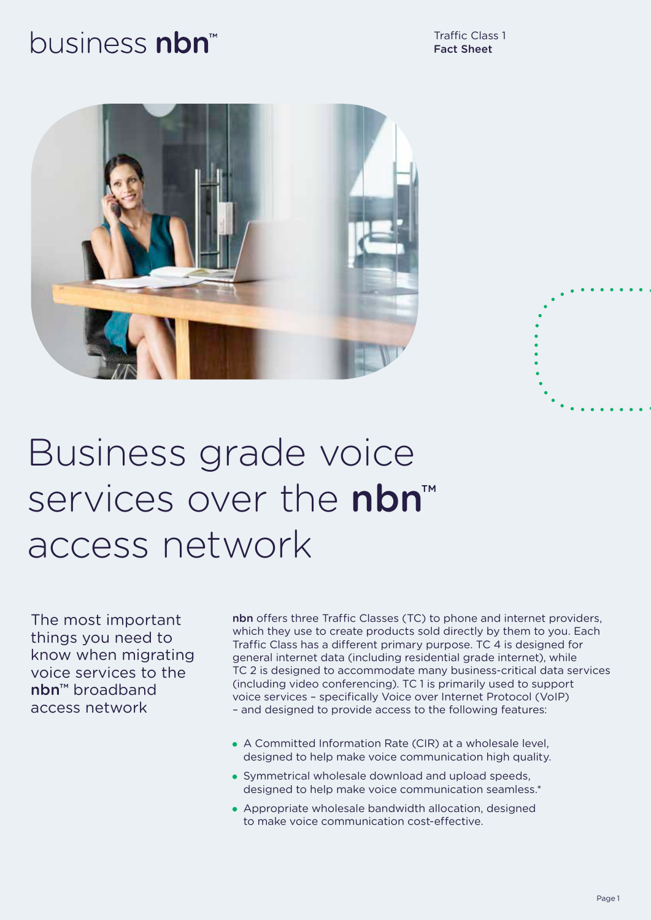## business nbn





# Business grade voice services over the nbn™ access network

The most important things you need to know when migrating voice services to the nbn™ broadband access network

nbn offers three Traffic Classes (TC) to phone and internet providers, which they use to create products sold directly by them to you. Each Traffic Class has a different primary purpose. TC 4 is designed for general internet data (including residential grade internet), while TC 2 is designed to accommodate many business-critical data services (including video conferencing). TC 1 is primarily used to support voice services – specifically Voice over Internet Protocol (VoIP) – and designed to provide access to the following features:

- A Committed Information Rate (CIR) at a wholesale level, designed to help make voice communication high quality.
- Symmetrical wholesale download and upload speeds, designed to help make voice communication seamless.\*
- Appropriate wholesale bandwidth allocation, designed to make voice communication cost-effective.